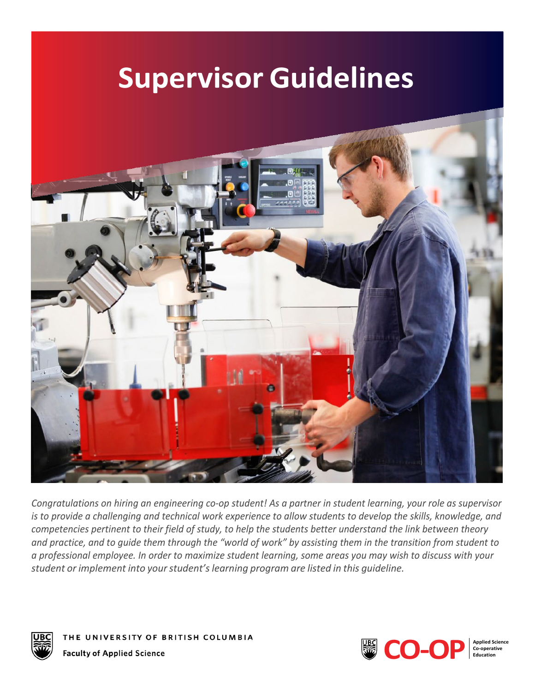# **Supervisor Guidelines**



*Congratulations on hiring an engineering co-op student! As a partner in student learning, your role as supervisor is to provide a challenging and technical work experience to allow students to develop the skills, knowledge, and competencies pertinent to their field of study, to help the students better understand the link between theory and practice, and to guide them through the "world of work" by assisting them in the transition from student to a professional employee. In order to maximize student learning, some areas you may wish to discuss with your student or implement into your student's learning program are listed in this guideline.*



THE UNIVERSITY OF BRITISH COLUMBIA **Faculty of Applied Science** 

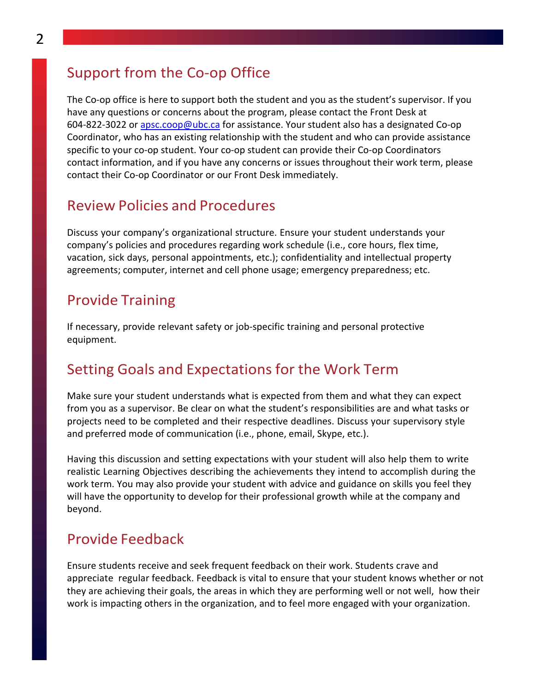## Support from the Co-op Office

The Co-op office is here to support both the student and you as the student's supervisor. If you have any questions or concerns about the program, please contact the Front Desk at 604-822-3022 or [apsc.coop@ubc.ca](mailto:apsc.coop@ubc.ca) for assistance. Your student also has a designated Co-op Coordinator, who has an existing relationship with the student and who can provide assistance specific to your co-op student. Your co-op student can provide their Co-op Coordinators contact information, and if you have any concerns or issues throughout their work term, please contact their Co-op Coordinator or our Front Desk immediately.

#### Review Policies and Procedures

Discuss your company's organizational structure. Ensure your student understands your company's policies and procedures regarding work schedule (i.e., core hours, flex time, vacation, sick days, personal appointments, etc.); confidentiality and intellectual property agreements; computer, internet and cell phone usage; emergency preparedness; etc.

## Provide Training

If necessary, provide relevant safety or job-specific training and personal protective equipment.

# Setting Goals and Expectations for the Work Term

Make sure your student understands what is expected from them and what they can expect from you as a supervisor. Be clear on what the student's responsibilities are and what tasks or projects need to be completed and their respective deadlines. Discuss your supervisory style and preferred mode of communication (i.e., phone, email, Skype, etc.).

Having this discussion and setting expectations with your student will also help them to write realistic Learning Objectives describing the achievements they intend to accomplish during the work term. You may also provide your student with advice and guidance on skills you feel they will have the opportunity to develop for their professional growth while at the company and beyond.

#### Provide Feedback

Ensure students receive and seek frequent feedback on their work. Students crave and appreciate regular feedback. Feedback is vital to ensure that your student knows whether or not they are achieving their goals, the areas in which they are performing well or not well, how their work is impacting others in the organization, and to feel more engaged with your organization.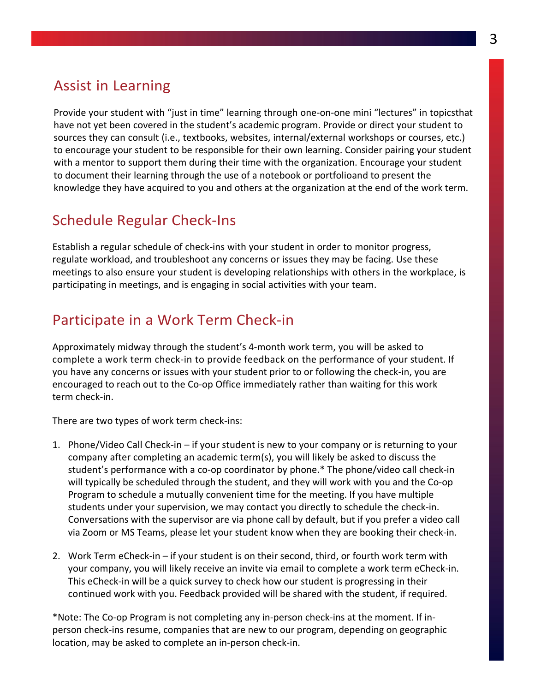# Assist in Learning

Provide your student with "just in time" learning through one-on-one mini "lectures" in topicsthat have not yet been covered in the student's academic program. Provide or direct your student to sources they can consult (i.e., textbooks, websites, internal/external workshops or courses, etc.) to encourage your student to be responsible for their own learning. Consider pairing your student with a mentor to support them during their time with the organization. Encourage your student to document their learning through the use of a notebook or portfolioand to present the knowledge they have acquired to you and others at the organization at the end of the work term.

# Schedule Regular Check-Ins

Establish a regular schedule of check-ins with your student in order to monitor progress, regulate workload, and troubleshoot any concerns or issues they may be facing. Use these meetings to also ensure your student is developing relationships with others in the workplace, is participating in meetings, and is engaging in social activities with your team.

# Participate in a Work Term Check-in

Approximately midway through the student's 4-month work term, you will be asked to complete a work term check-in to provide feedback on the performance of your student. If you have any concerns or issues with your student prior to or following the check-in, you are encouraged to reach out to the Co-op Office immediately rather than waiting for this work term check-in.

There are two types of work term check-ins:

- 1. Phone/Video Call Check-in if your student is new to your company or is returning to your company after completing an academic term(s), you will likely be asked to discuss the student's performance with a co-op coordinator by phone.\* The phone/video call check-in will typically be scheduled through the student, and they will work with you and the Co-op Program to schedule a mutually convenient time for the meeting. If you have multiple students under your supervision, we may contact you directly to schedule the check-in. Conversations with the supervisor are via phone call by default, but if you prefer a video call via Zoom or MS Teams, please let your student know when they are booking their check-in.
- 2. Work Term eCheck-in if your student is on their second, third, or fourth work term with your company, you will likely receive an invite via email to complete a work term eCheck-in. This eCheck-in will be a quick survey to check how our student is progressing in their continued work with you. Feedback provided will be shared with the student, if required.

\*Note: The Co-op Program is not completing any in-person check-ins at the moment. If inperson check-ins resume, companies that are new to our program, depending on geographic location, may be asked to complete an in-person check-in.